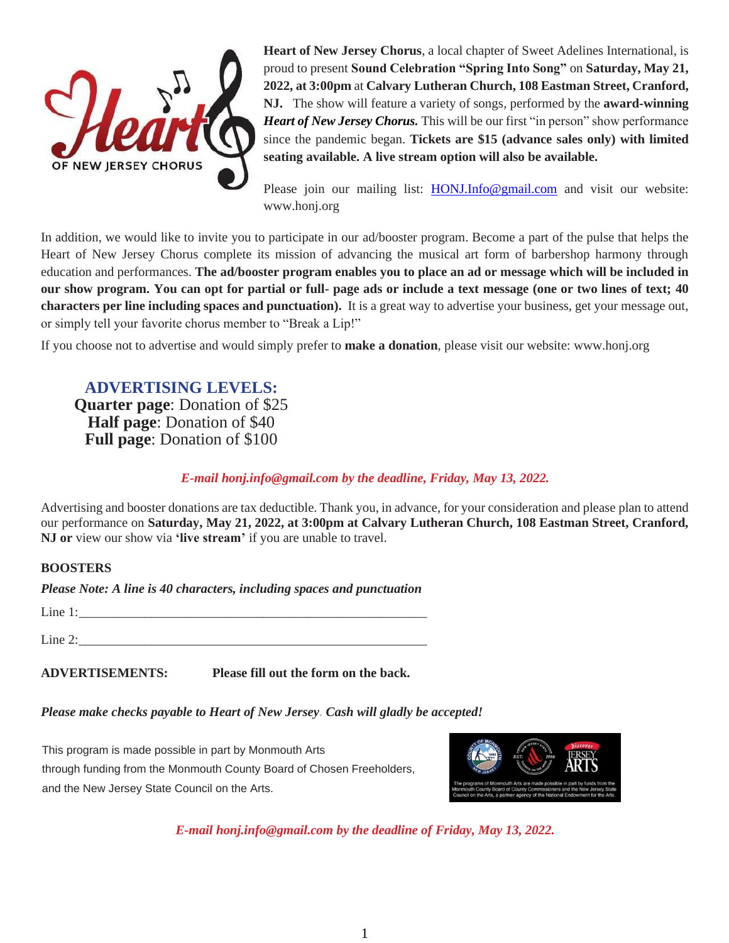

**Heart of New Jersey Chorus**, a local chapter of Sweet Adelines International, is proud to present **Sound Celebration "Spring Into Song"** on **Saturday, May 21, 2022, at 3:00pm** at **Calvary Lutheran Church, 108 Eastman Street, Cranford, NJ.** The show will feature a variety of songs, performed by the **award-winning** *Heart of New Jersey Chorus.* This will be our first "in person" show performance since the pandemic began. **Tickets are \$15 (advance sales only) with limited seating available. A live stream option will also be available.**

Please join our mailing list: [HONJ.Info@gmail.com](about:blank) and visit our website: www.honj.org

In addition, we would like to invite you to participate in our ad/booster program. Become a part of the pulse that helps the Heart of New Jersey Chorus complete its mission of advancing the musical art form of barbershop harmony through education and performances. **The ad/booster program enables you to place an ad or message which will be included in our show program. You can opt for partial or full- page ads or include a text message (one or two lines of text; 40 characters per line including spaces and punctuation).** It is a great way to advertise your business, get your message out, or simply tell your favorite chorus member to "Break a Lip!"

If you choose not to advertise and would simply prefer to **make a donation**, please visit our website: www.honj.org

**ADVERTISING LEVELS: Quarter page**: Donation of \$25 **Half page**: Donation of \$40 **Full page**: Donation of \$100

## *E-mail [honj.info@gmail.com](about:blank) by the deadline, Friday, May 13, 2022.*

Advertising and booster donations are tax deductible. Thank you, in advance, for your consideration and please plan to attend our performance on **Saturday, May 21, 2022, at 3:00pm at Calvary Lutheran Church, 108 Eastman Street, Cranford, NJ or** view our show via **'live stream'** if you are unable to travel.

## **BOOSTERS**

*Please Note: A line is 40 characters, including spaces and punctuation* 

| Line 1 | ________________ | ___________ | __________ |  |
|--------|------------------|-------------|------------|--|
|        |                  |             |            |  |
|        |                  |             |            |  |

Line 2:

**ADVERTISEMENTS: Please fill out the form on the back.**

## *Please make checks payable to Heart of New Jersey. Cash will gladly be accepted!*

This program is made possible in part by Monmouth Arts through funding from the Monmouth County Board of Chosen Freeholders, and the New Jersey State Council on the Arts.



*E-mail [honj.info@gmail.com](about:blank) by the deadline of Friday, May 13, 2022.*